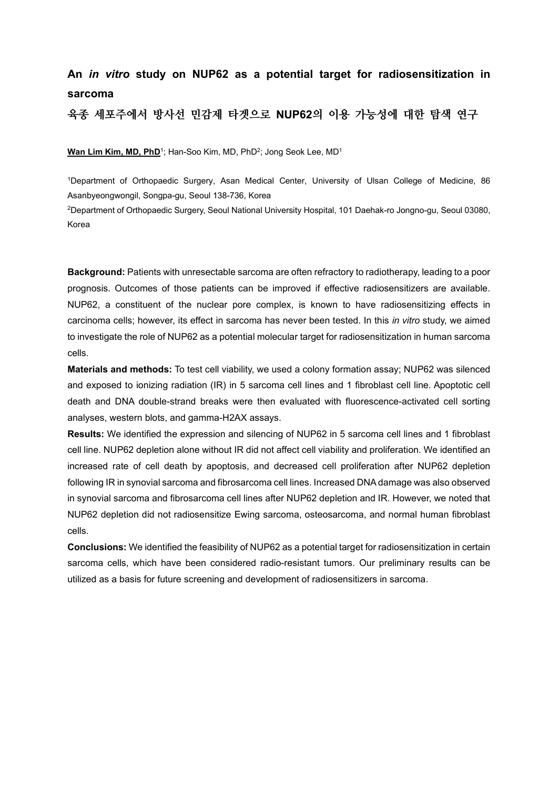# **An** *in vitro* **study on NUP62 as a potential target for radiosensitization in sarcoma**

**육종 세포주에서 방사선 민감제 타겟으로 NUP62의 이용 가능성에 대한 탐색 연구**

**Wan Lim Kim, MD, PhD**<sup>1</sup>; Han-Soo Kim, MD, PhD<sup>2</sup>; Jong Seok Lee, MD<sup>1</sup>

1Department of Orthopaedic Surgery, Asan Medical Center, University of Ulsan College of Medicine, 86 Asanbyeongwongil, Songpa-gu, Seoul 138-736, Korea

2Department of Orthopaedic Surgery, Seoul National University Hospital, 101 Daehak-ro Jongno-gu, Seoul 03080, Korea

**Background:** Patients with unresectable sarcoma are often refractory to radiotherapy, leading to a poor prognosis. Outcomes of those patients can be improved if effective radiosensitizers are available. NUP62, a constituent of the nuclear pore complex, is known to have radiosensitizing effects in carcinoma cells; however, its effect in sarcoma has never been tested. In this *in vitro* study, we aimed to investigate the role of NUP62 as a potential molecular target for radiosensitization in human sarcoma cells.

**Materials and methods:** To test cell viability, we used a colony formation assay; NUP62 was silenced and exposed to ionizing radiation (IR) in 5 sarcoma cell lines and 1 fibroblast cell line. Apoptotic cell death and DNA double-strand breaks were then evaluated with fluorescence-activated cell sorting analyses, western blots, and gamma-H2AX assays.

**Results:** We identified the expression and silencing of NUP62 in 5 sarcoma cell lines and 1 fibroblast cell line. NUP62 depletion alone without IR did not affect cell viability and proliferation. We identified an increased rate of cell death by apoptosis, and decreased cell proliferation after NUP62 depletion following IR in synovial sarcoma and fibrosarcoma cell lines. Increased DNA damage was also observed in synovial sarcoma and fibrosarcoma cell lines after NUP62 depletion and IR. However, we noted that NUP62 depletion did not radiosensitize Ewing sarcoma, osteosarcoma, and normal human fibroblast cells.

**Conclusions:** We identified the feasibility of NUP62 as a potential target for radiosensitization in certain sarcoma cells, which have been considered radio-resistant tumors. Our preliminary results can be utilized as a basis for future screening and development of radiosensitizers in sarcoma.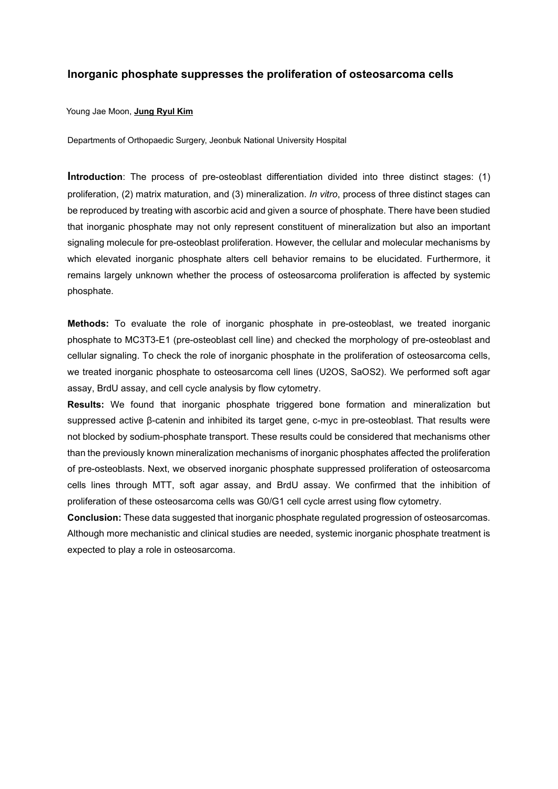# **Inorganic phosphate suppresses the proliferation of osteosarcoma cells**

# Young Jae Moon, **Jung Ryul Kim**

Departments of Orthopaedic Surgery, Jeonbuk National University Hospital

**Introduction**: The process of pre-osteoblast differentiation divided into three distinct stages: (1) proliferation, (2) matrix maturation, and (3) mineralization. *In vitro*, process of three distinct stages can be reproduced by treating with ascorbic acid and given a source of phosphate. There have been studied that inorganic phosphate may not only represent constituent of mineralization but also an important signaling molecule for pre-osteoblast proliferation. However, the cellular and molecular mechanisms by which elevated inorganic phosphate alters cell behavior remains to be elucidated. Furthermore, it remains largely unknown whether the process of osteosarcoma proliferation is affected by systemic phosphate.

**Methods:** To evaluate the role of inorganic phosphate in pre-osteoblast, we treated inorganic phosphate to MC3T3-E1 (pre-osteoblast cell line) and checked the morphology of pre-osteoblast and cellular signaling. To check the role of inorganic phosphate in the proliferation of osteosarcoma cells, we treated inorganic phosphate to osteosarcoma cell lines (U2OS, SaOS2). We performed soft agar assay, BrdU assay, and cell cycle analysis by flow cytometry.

**Results:** We found that inorganic phosphate triggered bone formation and mineralization but suppressed active β-catenin and inhibited its target gene, c-myc in pre-osteoblast. That results were not blocked by sodium-phosphate transport. These results could be considered that mechanisms other than the previously known mineralization mechanisms of inorganic phosphates affected the proliferation of pre-osteoblasts. Next, we observed inorganic phosphate suppressed proliferation of osteosarcoma cells lines through MTT, soft agar assay, and BrdU assay. We confirmed that the inhibition of proliferation of these osteosarcoma cells was G0/G1 cell cycle arrest using flow cytometry.

**Conclusion:** These data suggested that inorganic phosphate regulated progression of osteosarcomas. Although more mechanistic and clinical studies are needed, systemic inorganic phosphate treatment is expected to play a role in osteosarcoma.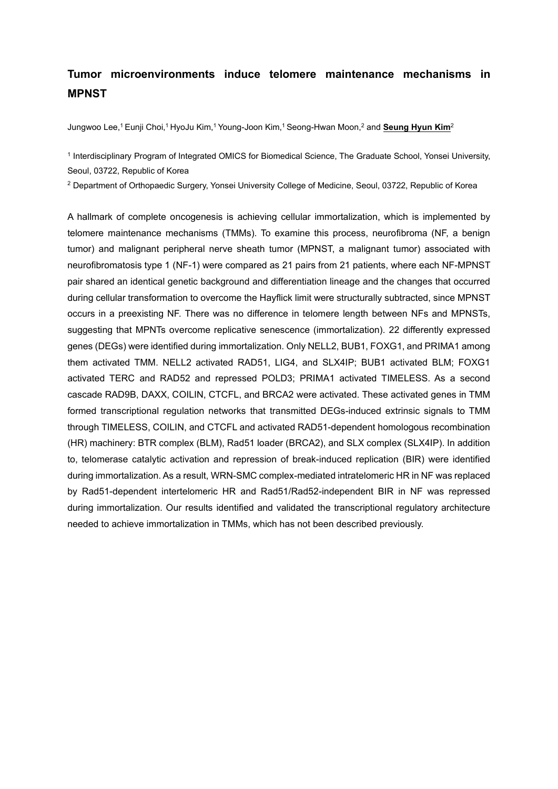# **Tumor microenvironments induce telomere maintenance mechanisms in MPNST**

Jungwoo Lee,1 Eunji Choi,1 HyoJu Kim,1 Young-Joon Kim,1 Seong-Hwan Moon,2 and **Seung Hyun Kim**2

<sup>1</sup> Interdisciplinary Program of Integrated OMICS for Biomedical Science, The Graduate School, Yonsei University, Seoul, 03722, Republic of Korea

<sup>2</sup> Department of Orthopaedic Surgery, Yonsei University College of Medicine, Seoul, 03722, Republic of Korea

A hallmark of complete oncogenesis is achieving cellular immortalization, which is implemented by telomere maintenance mechanisms (TMMs). To examine this process, neurofibroma (NF, a benign tumor) and malignant peripheral nerve sheath tumor (MPNST, a malignant tumor) associated with neurofibromatosis type 1 (NF-1) were compared as 21 pairs from 21 patients, where each NF-MPNST pair shared an identical genetic background and differentiation lineage and the changes that occurred during cellular transformation to overcome the Hayflick limit were structurally subtracted, since MPNST occurs in a preexisting NF. There was no difference in telomere length between NFs and MPNSTs, suggesting that MPNTs overcome replicative senescence (immortalization). 22 differently expressed genes (DEGs) were identified during immortalization. Only NELL2, BUB1, FOXG1, and PRIMA1 among them activated TMM. NELL2 activated RAD51, LIG4, and SLX4IP; BUB1 activated BLM; FOXG1 activated TERC and RAD52 and repressed POLD3; PRIMA1 activated TIMELESS. As a second cascade RAD9B, DAXX, COILIN, CTCFL, and BRCA2 were activated. These activated genes in TMM formed transcriptional regulation networks that transmitted DEGs-induced extrinsic signals to TMM through TIMELESS, COILIN, and CTCFL and activated RAD51-dependent homologous recombination (HR) machinery: BTR complex (BLM), Rad51 loader (BRCA2), and SLX complex (SLX4IP). In addition to, telomerase catalytic activation and repression of break-induced replication (BIR) were identified during immortalization. As a result, WRN-SMC complex-mediated intratelomeric HR in NF was replaced by Rad51-dependent intertelomeric HR and Rad51/Rad52-independent BIR in NF was repressed during immortalization. Our results identified and validated the transcriptional regulatory architecture needed to achieve immortalization in TMMs, which has not been described previously.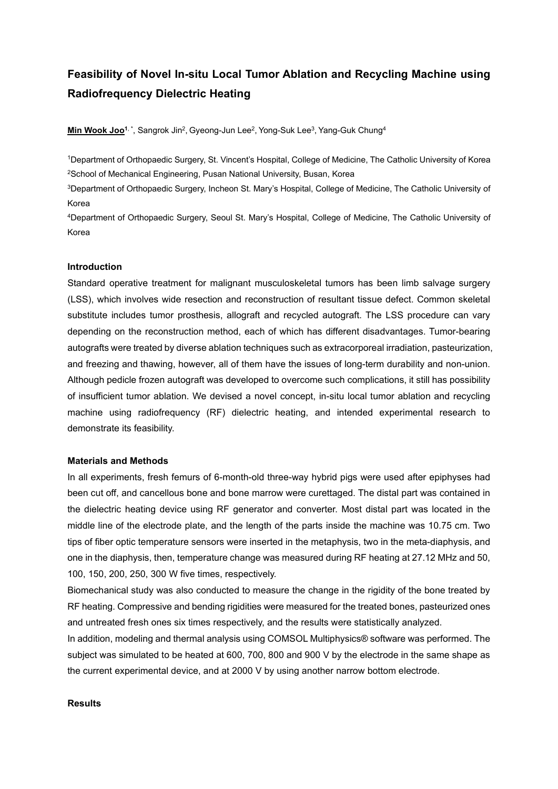# **Feasibility of Novel In-situ Local Tumor Ablation and Recycling Machine using Radiofrequency Dielectric Heating**

**Min Wook Joo<sup>1,\*</sup>, Sangrok Jin<sup>2</sup>, Gyeong-Jun Lee<sup>2</sup>, Yong-Suk Lee<sup>3</sup>, Yang-Guk Chung<sup>4</sup>** 

1Department of Orthopaedic Surgery, St. Vincent's Hospital, College of Medicine, The Catholic University of Korea 2School of Mechanical Engineering, Pusan National University, Busan, Korea

3Department of Orthopaedic Surgery, Incheon St. Mary's Hospital, College of Medicine, The Catholic University of Korea

4Department of Orthopaedic Surgery, Seoul St. Mary's Hospital, College of Medicine, The Catholic University of Korea

#### **Introduction**

Standard operative treatment for malignant musculoskeletal tumors has been limb salvage surgery (LSS), which involves wide resection and reconstruction of resultant tissue defect. Common skeletal substitute includes tumor prosthesis, allograft and recycled autograft. The LSS procedure can vary depending on the reconstruction method, each of which has different disadvantages. Tumor-bearing autografts were treated by diverse ablation techniques such as extracorporeal irradiation, pasteurization, and freezing and thawing, however, all of them have the issues of long-term durability and non-union. Although pedicle frozen autograft was developed to overcome such complications, it still has possibility of insufficient tumor ablation. We devised a novel concept, in-situ local tumor ablation and recycling machine using radiofrequency (RF) dielectric heating, and intended experimental research to demonstrate its feasibility.

#### **Materials and Methods**

In all experiments, fresh femurs of 6-month-old three-way hybrid pigs were used after epiphyses had been cut off, and cancellous bone and bone marrow were curettaged. The distal part was contained in the dielectric heating device using RF generator and converter. Most distal part was located in the middle line of the electrode plate, and the length of the parts inside the machine was 10.75 cm. Two tips of fiber optic temperature sensors were inserted in the metaphysis, two in the meta-diaphysis, and one in the diaphysis, then, temperature change was measured during RF heating at 27.12 MHz and 50, 100, 150, 200, 250, 300 W five times, respectively.

Biomechanical study was also conducted to measure the change in the rigidity of the bone treated by RF heating. Compressive and bending rigidities were measured for the treated bones, pasteurized ones and untreated fresh ones six times respectively, and the results were statistically analyzed.

In addition, modeling and thermal analysis using COMSOL Multiphysics® software was performed. The subject was simulated to be heated at 600, 700, 800 and 900 V by the electrode in the same shape as the current experimental device, and at 2000 V by using another narrow bottom electrode.

# **Results**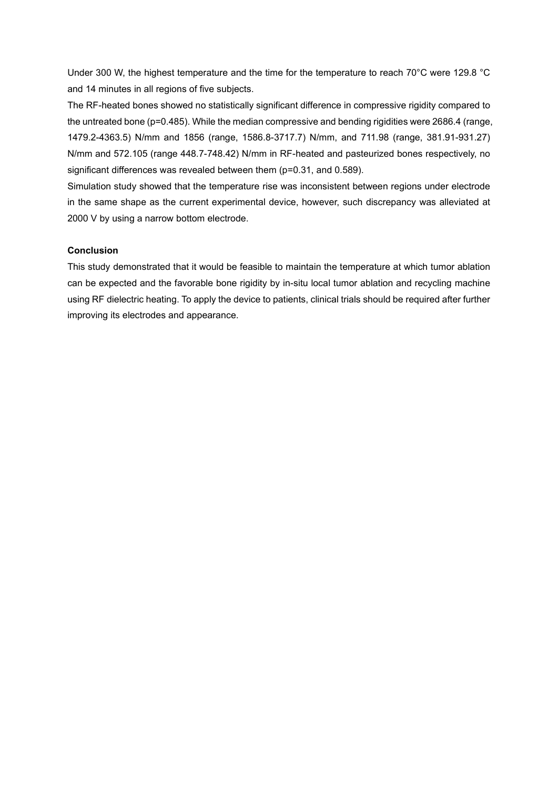Under 300 W, the highest temperature and the time for the temperature to reach 70°C were 129.8 °C and 14 minutes in all regions of five subjects.

The RF-heated bones showed no statistically significant difference in compressive rigidity compared to the untreated bone (p=0.485). While the median compressive and bending rigidities were 2686.4 (range, 1479.2-4363.5) N/mm and 1856 (range, 1586.8-3717.7) N/mm, and 711.98 (range, 381.91-931.27) N/mm and 572.105 (range 448.7-748.42) N/mm in RF-heated and pasteurized bones respectively, no significant differences was revealed between them (p=0.31, and 0.589).

Simulation study showed that the temperature rise was inconsistent between regions under electrode in the same shape as the current experimental device, however, such discrepancy was alleviated at 2000 V by using a narrow bottom electrode.

# **Conclusion**

This study demonstrated that it would be feasible to maintain the temperature at which tumor ablation can be expected and the favorable bone rigidity by in-situ local tumor ablation and recycling machine using RF dielectric heating. To apply the device to patients, clinical trials should be required after further improving its electrodes and appearance.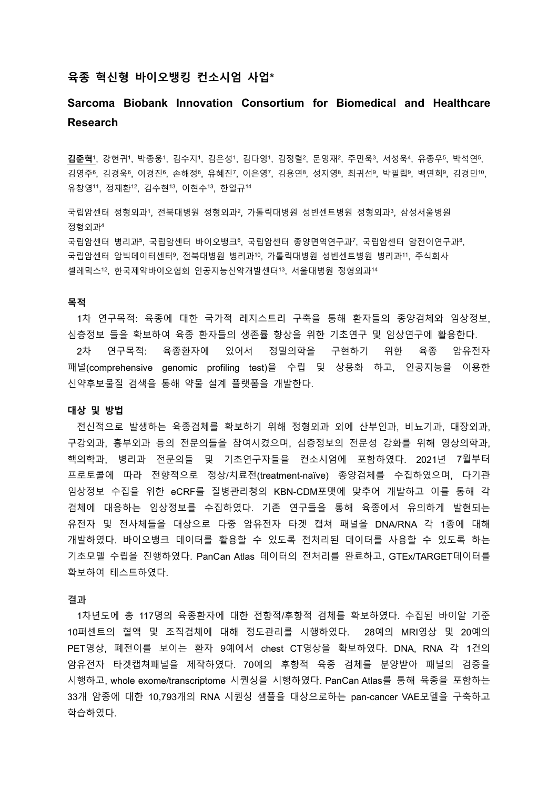# **육종 혁신형 바이오뱅킹 컨소시엄 사업\***

# **Sarcoma Biobank Innovation Consortium for Biomedical and Healthcare Research**

**김준혁**1, 강현귀1, 박종웅1, 김수지1, 김은성1, 김다영1, 김정렬2, 문영재2, 주민욱3, 서성욱4, 유종우5, 박석연5, 김영주6, 김경욱6, 이경진6, 손해정6, 유혜진7, 이은영7, 김용연8, 성지영8, 최귀선9, 박필립9, 백연희9, 김경민10, 유창영11, 정재환12, 김수현13, 이현수13, 한일규<sup>14</sup>

국립암센터 정형외과' 전북대병원 정형외과' 가톨릭대병원 성빈센트병원 정형외과3, 삼성서울병원 정형외과<sup>4</sup> 국립암센터 병리과5, 국립암센터 바이오뱅크6, 국립암센터 종양면역연구과7, 국립암센터 암전이연구과8, 국립암센터 암빅데이터센터9, 전북대병원 병리과10, 가톨릭대병원 성빈센트병원 병리과11, 주식회사 셀레믹스12, 한국제약바이오협회 인공지능신약개발센터13, 서울대병원 정형외과<sup>14</sup>

## **목적**

1차 연구목적: 육종에 대한 국가적 레지스트리 구축을 통해 환자들의 종양검체와 임상정보, 심층정보 들을 확보하여 육종 환자들의 생존률 향상을 위한 기초연구 및 임상연구에 활용한다.

2차 연구목적: 육종환자에 있어서 정밀의학을 구현하기 위한 육종 암유전자 패널(comprehensive genomic profiling test)을 수립 및 상용화 하고, 인공지능을 이용한 신약후보물질 검색을 통해 약물 설계 플랫폼을 개발한다.

#### **대상 및 방법**

전신적으로 발생하는 육종검체를 확보하기 위해 정형외과 외에 산부인과, 비뇨기과, 대장외과, 구강외과, 흉부외과 등의 전문의들을 참여시켰으며, 심층정보의 전문성 강화를 위해 영상의학과, 핵의학과, 병리과 전문의들 및 기초연구자들을 컨소시엄에 포함하였다. 2021년 7월부터 프로토콜에 따라 전향적으로 정상/치료전(treatment-naïve) 종양검체를 수집하였으며, 다기관 임상정보 수집을 위한 eCRF를 질병관리청의 KBN-CDM포맷에 맞추어 개발하고 이를 통해 각 검체에 대응하는 임상정보를 수집하였다. 기존 연구들을 통해 육종에서 유의하게 발현되는 유전자 및 전사체들을 대상으로 다중 암유전자 타겟 캡쳐 패널을 DNA/RNA 각 1종에 대해 개발하였다. 바이오뱅크 데이터를 활용할 수 있도록 전처리된 데이터를 사용할 수 있도록 하는 기초모델 수립을 진행하였다. PanCan Atlas 데이터의 전처리를 완료하고, GTEx/TARGET데이터를 확보하여 테스트하였다.

**결과**

1차년도에 총 117명의 육종환자에 대한 전향적/후향적 검체를 확보하였다. 수집된 바이알 기준 10퍼센트의 혈액 및 조직검체에 대해 정도관리를 시행하였다. 28예의 MRI영상 및 20예의 PET영상, 폐전이를 보이는 환자 9예에서 chest CT영상을 확보하였다. DNA, RNA 각 1건의 암유전자 타겟캡쳐패널을 제작하였다. 70예의 후향적 육종 검체를 분양받아 패널의 검증을 시행하고, whole exome/transcriptome 시퀀싱을 시행하였다. PanCan Atlas를 통해 육종을 포함하는 33개 암종에 대한 10,793개의 RNA 시퀀싱 샘플을 대상으로하는 pan-cancer VAE모델을 구축하고 학습하였다.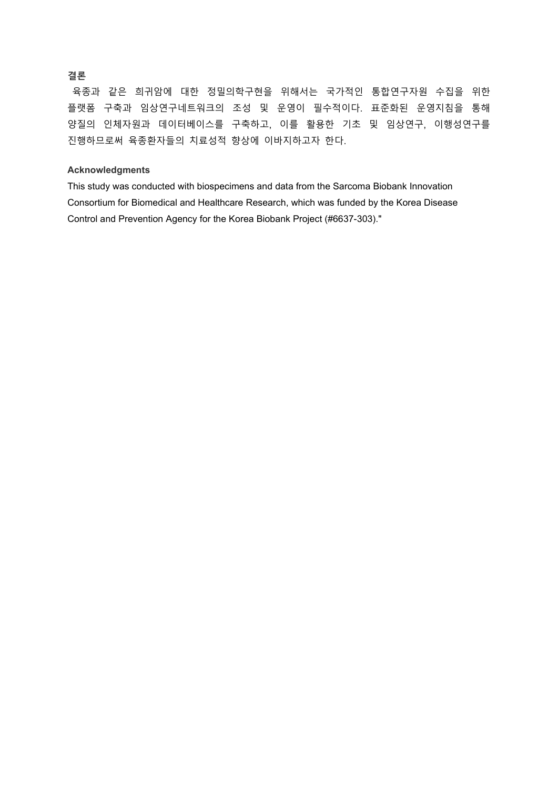# **결론**

육종과 같은 희귀암에 대한 정밀의학구현을 위해서는 국가적인 통합연구자원 수집을 위한 플랫폼 구축과 임상연구네트워크의 조성 및 운영이 필수적이다. 표준화된 운영지침을 통해 양질의 인체자원과 데이터베이스를 구축하고, 이를 활용한 기초 및 임상연구, 이행성연구를 진행하므로써 육종환자들의 치료성적 향상에 이바지하고자 한다.

# **Acknowledgments**

This study was conducted with biospecimens and data from the Sarcoma Biobank Innovation Consortium for Biomedical and Healthcare Research, which was funded by the Korea Disease Control and Prevention Agency for the Korea Biobank Project (#6637-303)."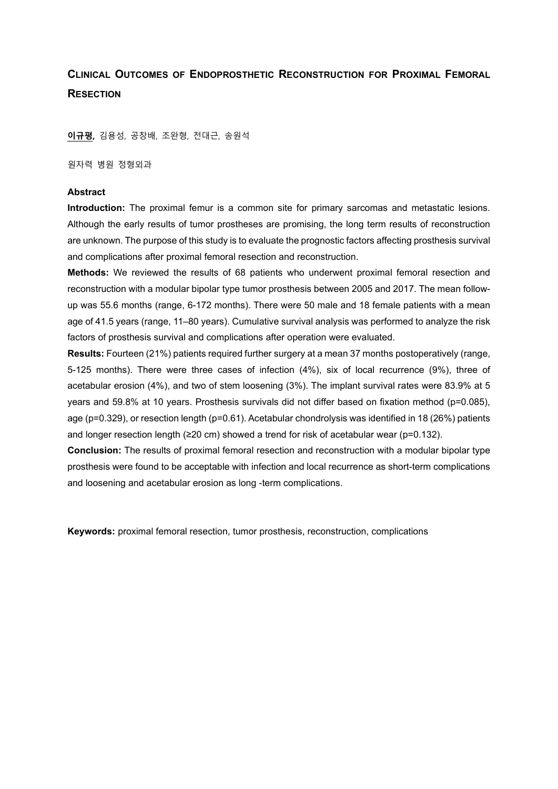# **CLINICAL OUTCOMES OF ENDOPROSTHETIC RECONSTRUCTION FOR PROXIMAL FEMORAL RESECTION**

**이규평,** 김용성, 공창배, 조완형, 전대근, 송원석

원자력 병원 정형외과

#### **Abstract**

**Introduction:** The proximal femur is a common site for primary sarcomas and metastatic lesions. Although the early results of tumor prostheses are promising, the long term results of reconstruction are unknown. The purpose of this study is to evaluate the prognostic factors affecting prosthesis survival and complications after proximal femoral resection and reconstruction.

**Methods:** We reviewed the results of 68 patients who underwent proximal femoral resection and reconstruction with a modular bipolar type tumor prosthesis between 2005 and 2017. The mean followup was 55.6 months (range, 6-172 months). There were 50 male and 18 female patients with a mean age of 41.5 years (range, 11–80 years). Cumulative survival analysis was performed to analyze the risk factors of prosthesis survival and complications after operation were evaluated.

**Results:** Fourteen (21%) patients required further surgery at a mean 37 months postoperatively (range, 5-125 months). There were three cases of infection (4%), six of local recurrence (9%), three of acetabular erosion (4%), and two of stem loosening (3%). The implant survival rates were 83.9% at 5 years and 59.8% at 10 years. Prosthesis survivals did not differ based on fixation method (p=0.085), age (p=0.329), or resection length (p=0.61). Acetabular chondrolysis was identified in 18 (26%) patients and longer resection length (≥20 cm) showed a trend for risk of acetabular wear (p=0.132).

**Conclusion:** The results of proximal femoral resection and reconstruction with a modular bipolar type prosthesis were found to be acceptable with infection and local recurrence as short-term complications and loosening and acetabular erosion as long -term complications.

**Keywords:** proximal femoral resection, tumor prosthesis, reconstruction, complications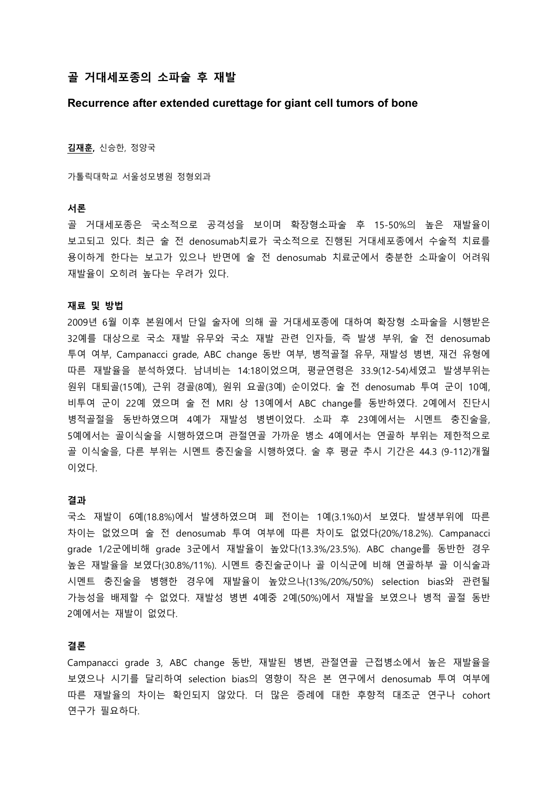# **골 거대세포종의 소파술 후 재발**

# **Recurrence after extended curettage for giant cell tumors of bone**

**김재훈,** 신승한, 정양국

가톨릭대학교 서울성모병원 정형외과

# **서론**

골 거대세포종은 국소적으로 공격성을 보이며 확장형소파술 후 15-50%의 높은 재발율이 보고되고 있다. 최근 술 전 denosumab치료가 국소적으로 진행된 거대세포종에서 수술적 치료를 용이하게 한다는 보고가 있으나 반면에 술 전 denosumab 치료군에서 충분한 소파술이 어려워 재발율이 오히려 높다는 우려가 있다.

#### **재료 및 방법**

2009년 6월 이후 본원에서 단일 술자에 의해 골 거대세포종에 대하여 확장형 소파술을 시행받은 32예를 대상으로 국소 재발 유무와 국소 재발 관련 인자들, 즉 발생 부위, 술 전 denosumab 투여 여부, Campanacci grade, ABC change 동반 여부, 병적골절 유무, 재발성 병변, 재건 유형에 따른 재발율을 분석하였다. 남녀비는 14:18이었으며, 평균연령은 33.9(12-54)세였고 발생부위는 원위 대퇴골(15예), 근위 경골(8예), 원위 요골(3예) 순이었다. 술 전 denosumab 투여 군이 10예, 비투여 군이 22예 였으며 술 전 MRI 상 13예에서 ABC change를 동반하였다. 2예에서 진단시 병적골절을 동반하였으며 4예가 재발성 병변이었다. 소파 후 23예에서는 시멘트 충진술을, 5예에서는 골이식술을 시행하였으며 관절연골 가까운 병소 4예에서는 연골하 부위는 제한적으로 골 이식술을, 다른 부위는 시멘트 충진술을 시행하였다. 술 후 평균 추시 기간은 44.3 (9-112)개월 이었다.

#### **결과**

국소 재발이 6예(18.8%)에서 발생하였으며 폐 전이는 1예(3.1%0)서 보였다. 발생부위에 따른 차이는 없었으며 술 전 denosumab 투여 여부에 따른 차이도 없었다(20%/18.2%). Campanacci grade 1/2군에비해 grade 3군에서 재발율이 높았다(13.3%/23.5%). ABC change를 동반한 경우 높은 재발율을 보였다(30.8%/11%). 시멘트 충진술군이나 골 이식군에 비해 연골하부 골 이식술과 시멘트 충진술을 병행한 경우에 재발율이 높았으나(13%/20%/50%) selection bias와 관련될 가능성을 배제할 수 없었다. 재발성 병변 4예중 2예(50%)에서 재발을 보였으나 병적 골절 동반 2예에서는 재발이 없었다.

# **결론**

Campanacci grade 3, ABC change 동반, 재발된 병변, 관절연골 근접병소에서 높은 재발율을 보였으나 시기를 달리하여 selection bias의 영향이 작은 본 연구에서 denosumab 투여 여부에 따른 재발율의 차이는 확인되지 않았다. 더 많은 증례에 대한 후향적 대조군 연구나 cohort 연구가 필요하다.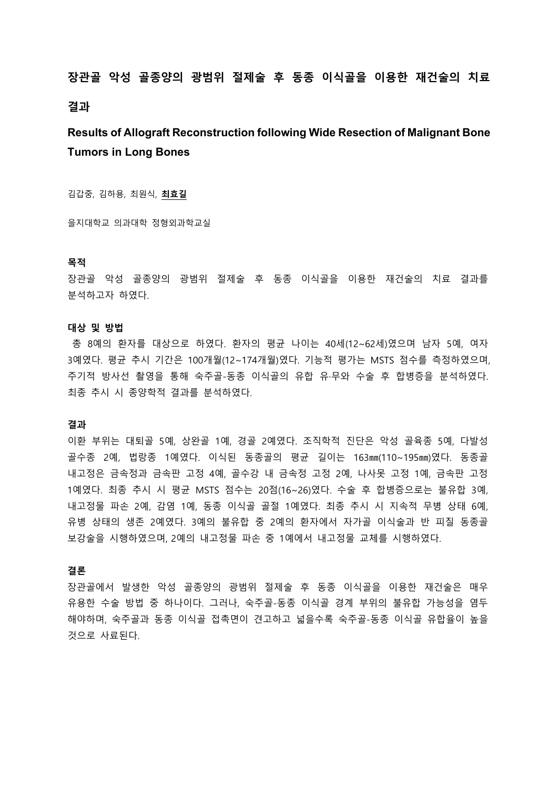# **장관골 악성 골종양의 광범위 절제술 후 동종 이식골을 이용한 재건술의 치료 결과**

# **Results of Allograft Reconstruction following Wide Resection of Malignant Bone Tumors in Long Bones**

김갑중, 김하용, 최원식, **최효길**

을지대학교 의과대학 정형외과학교실

#### **목적**

장관골 악성 골종양의 광범위 절제술 후 동종 이식골을 이용한 재건술의 치료 결과를 분석하고자 하였다.

# **대상 및 방법**

총 8예의 환자를 대상으로 하였다. 환자의 평균 나이는 40세(12~62세)였으며 남자 5예, 여자 3예였다. 평균 추시 기간은 100개월(12~174개월)였다. 기능적 평가는 MSTS 점수를 측정하였으며, 주기적 방사선 촬영을 통해 숙주골-동종 이식골의 유합 유·무와 수술 후 합병증을 분석하였다. 최종 추시 시 종양학적 결과를 분석하였다.

## **결과**

이환 부위는 대퇴골 5예, 상완골 1예, 경골 2예였다. 조직학적 진단은 악성 골육종 5예, 다발성 골수종 2예, 법랑종 1예였다. 이식된 동종골의 평균 길이는 163㎜(110~195㎜)였다. 동종골 내고정은 금속정과 금속판 고정 4예, 골수강 내 금속정 고정 2예, 나사못 고정 1예, 금속판 고정 1예였다. 최종 추시 시 평균 MSTS 점수는 20점(16~26)였다. 수술 후 합병증으로는 불유합 3예, 내고정물 파손 2예, 감염 1예, 동종 이식골 골절 1예였다. 최종 추시 시 지속적 무병 상태 6예, 유병 상태의 생존 2예였다. 3예의 불유합 중 2예의 환자에서 자가골 이식술과 반 피질 동종골 보강술을 시행하였으며, 2예의 내고정물 파손 중 1예에서 내고정물 교체를 시행하였다.

## **결론**

장관골에서 발생한 악성 골종양의 광범위 절제술 후 동종 이식골을 이용한 재건술은 매우 유용한 수술 방법 중 하나이다. 그러나, 숙주골-동종 이식골 경계 부위의 불유합 가능성을 염두 해야하며, 숙주골과 동종 이식골 접촉면이 견고하고 넓을수록 숙주골-동종 이식골 유합율이 높을 것으로 사료된다.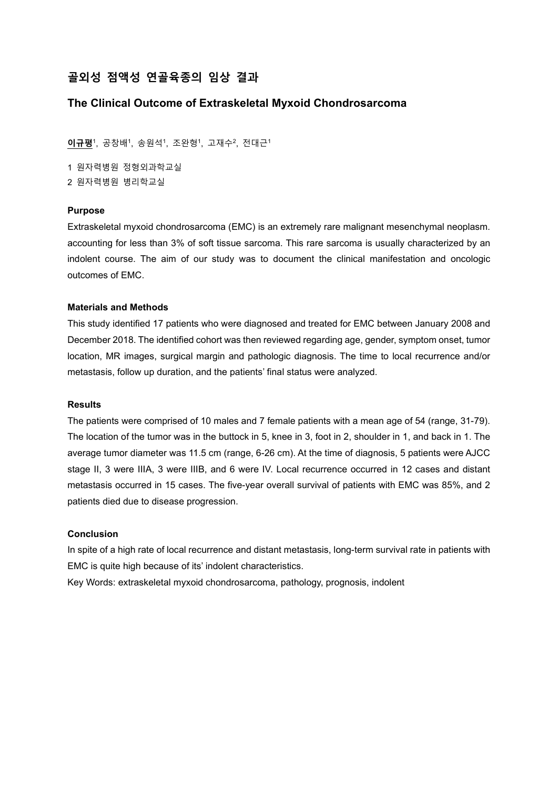# **골외성 점액성 연골육종의 임상 결과**

# **The Clinical Outcome of Extraskeletal Myxoid Chondrosarcoma**

**이규평**1, 공창배1, 송원석1, 조완형1, 고재수2, 전대근1

1 원자력병원 정형외과학교실 2 원자력병원 병리학교실

# **Purpose**

Extraskeletal myxoid chondrosarcoma (EMC) is an extremely rare malignant mesenchymal neoplasm. accounting for less than 3% of soft tissue sarcoma. This rare sarcoma is usually characterized by an indolent course. The aim of our study was to document the clinical manifestation and oncologic outcomes of EMC.

## **Materials and Methods**

This study identified 17 patients who were diagnosed and treated for EMC between January 2008 and December 2018. The identified cohort was then reviewed regarding age, gender, symptom onset, tumor location, MR images, surgical margin and pathologic diagnosis. The time to local recurrence and/or metastasis, follow up duration, and the patients' final status were analyzed.

# **Results**

The patients were comprised of 10 males and 7 female patients with a mean age of 54 (range, 31-79). The location of the tumor was in the buttock in 5, knee in 3, foot in 2, shoulder in 1, and back in 1. The average tumor diameter was 11.5 cm (range, 6-26 cm). At the time of diagnosis, 5 patients were AJCC stage II, 3 were IIIA, 3 were IIIB, and 6 were IV. Local recurrence occurred in 12 cases and distant metastasis occurred in 15 cases. The five-year overall survival of patients with EMC was 85%, and 2 patients died due to disease progression.

## **Conclusion**

In spite of a high rate of local recurrence and distant metastasis, long-term survival rate in patients with EMC is quite high because of its' indolent characteristics.

Key Words: extraskeletal myxoid chondrosarcoma, pathology, prognosis, indolent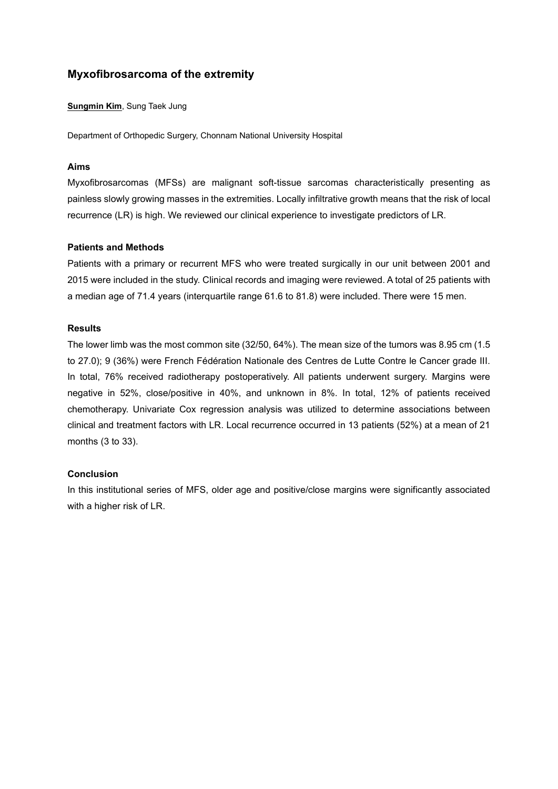# **Myxofibrosarcoma of the extremity**

**Sungmin Kim**, Sung Taek Jung

Department of Orthopedic Surgery, Chonnam National University Hospital

# **Aims**

Myxofibrosarcomas (MFSs) are malignant soft-tissue sarcomas characteristically presenting as painless slowly growing masses in the extremities. Locally infiltrative growth means that the risk of local recurrence (LR) is high. We reviewed our clinical experience to investigate predictors of LR.

# **Patients and Methods**

Patients with a primary or recurrent MFS who were treated surgically in our unit between 2001 and 2015 were included in the study. Clinical records and imaging were reviewed. A total of 25 patients with a median age of 71.4 years (interquartile range 61.6 to 81.8) were included. There were 15 men.

# **Results**

The lower limb was the most common site (32/50, 64%). The mean size of the tumors was 8.95 cm (1.5 to 27.0); 9 (36%) were French Fédération Nationale des Centres de Lutte Contre le Cancer grade III. In total, 76% received radiotherapy postoperatively. All patients underwent surgery. Margins were negative in 52%, close/positive in 40%, and unknown in 8%. In total, 12% of patients received chemotherapy. Univariate Cox regression analysis was utilized to determine associations between clinical and treatment factors with LR. Local recurrence occurred in 13 patients (52%) at a mean of 21 months (3 to 33).

# **Conclusion**

In this institutional series of MFS, older age and positive/close margins were significantly associated with a higher risk of LR.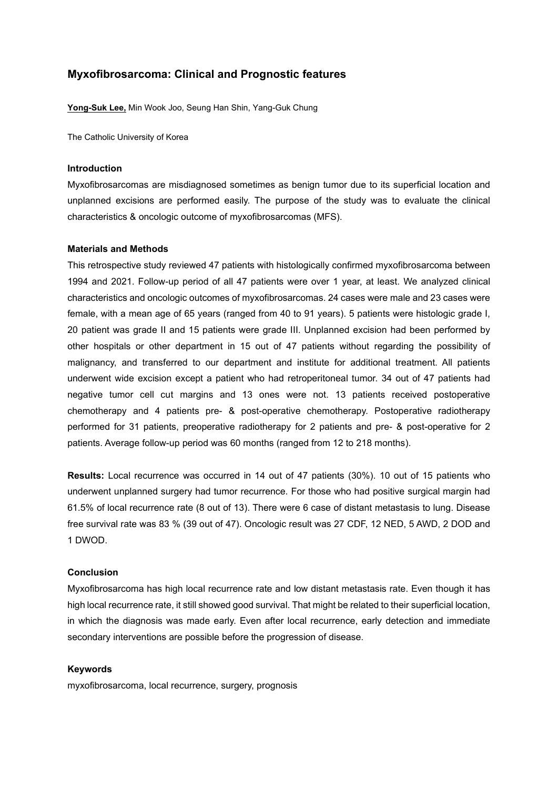# **Myxofibrosarcoma: Clinical and Prognostic features**

**Yong-Suk Lee,** Min Wook Joo, Seung Han Shin, Yang-Guk Chung

The Catholic University of Korea

## **Introduction**

Myxofibrosarcomas are misdiagnosed sometimes as benign tumor due to its superficial location and unplanned excisions are performed easily. The purpose of the study was to evaluate the clinical characteristics & oncologic outcome of myxofibrosarcomas (MFS).

#### **Materials and Methods**

This retrospective study reviewed 47 patients with histologically confirmed myxofibrosarcoma between 1994 and 2021. Follow-up period of all 47 patients were over 1 year, at least. We analyzed clinical characteristics and oncologic outcomes of myxofibrosarcomas. 24 cases were male and 23 cases were female, with a mean age of 65 years (ranged from 40 to 91 years). 5 patients were histologic grade I, 20 patient was grade II and 15 patients were grade III. Unplanned excision had been performed by other hospitals or other department in 15 out of 47 patients without regarding the possibility of malignancy, and transferred to our department and institute for additional treatment. All patients underwent wide excision except a patient who had retroperitoneal tumor. 34 out of 47 patients had negative tumor cell cut margins and 13 ones were not. 13 patients received postoperative chemotherapy and 4 patients pre- & post-operative chemotherapy. Postoperative radiotherapy performed for 31 patients, preoperative radiotherapy for 2 patients and pre- & post-operative for 2 patients. Average follow-up period was 60 months (ranged from 12 to 218 months).

**Results:** Local recurrence was occurred in 14 out of 47 patients (30%). 10 out of 15 patients who underwent unplanned surgery had tumor recurrence. For those who had positive surgical margin had 61.5% of local recurrence rate (8 out of 13). There were 6 case of distant metastasis to lung. Disease free survival rate was 83 % (39 out of 47). Oncologic result was 27 CDF, 12 NED, 5 AWD, 2 DOD and 1 DWOD.

# **Conclusion**

Myxofibrosarcoma has high local recurrence rate and low distant metastasis rate. Even though it has high local recurrence rate, it still showed good survival. That might be related to their superficial location, in which the diagnosis was made early. Even after local recurrence, early detection and immediate secondary interventions are possible before the progression of disease.

#### **Keywords**

myxofibrosarcoma, local recurrence, surgery, prognosis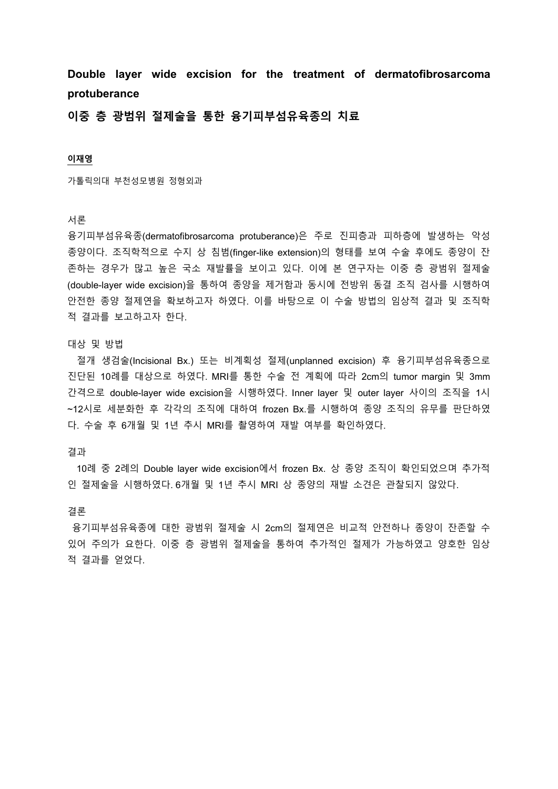**Double layer wide excision for the treatment of dermatofibrosarcoma protuberance**

**이중 층 광범위 절제술을 통한 융기피부섬유육종의 치료**

# **이재영**

가톨릭의대 부천성모병원 정형외과

## 서론

융기피부섬유육종(dermatofibrosarcoma protuberance)은 주로 진피층과 피하층에 발생하는 악성 종양이다. 조직학적으로 수지 상 침범(finger-like extension)의 형태를 보여 수술 후에도 종양이 잔 존하는 경우가 많고 높은 국소 재발률을 보이고 있다. 이에 본 연구자는 이중 층 광범위 절제술 (double-layer wide excision)을 통하여 종양을 제거함과 동시에 전방위 동결 조직 검사를 시행하여 안전한 종양 절제연을 확보하고자 하였다. 이를 바탕으로 이 수술 방법의 임상적 결과 및 조직학 적 결과를 보고하고자 한다.

#### 대상 및 방법

 절개 생검술(Incisional Bx.) 또는 비계획성 절제(unplanned excision) 후 융기피부섬유육종으로 진단된 10례를 대상으로 하였다. MRI를 통한 수술 전 계획에 따라 2cm의 tumor margin 및 3mm 간격으로 double-layer wide excision을 시행하였다. Inner layer 및 outer layer 사이의 조직을 1시 ~12시로 세분화한 후 각각의 조직에 대하여 frozen Bx.를 시행하여 종양 조직의 유무를 판단하였 다. 수술 후 6개월 및 1년 추시 MRI를 촬영하여 재발 여부를 확인하였다.

## 결과

10례 중 2례의 Double layer wide excision에서 frozen Bx. 상 종양 조직이 확인되었으며 추가적 인 절제술을 시행하였다. 6개월 및 1년 추시 MRI 상 종양의 재발 소견은 관찰되지 않았다.

#### 결론

융기피부섬유육종에 대한 광범위 절제술 시 2cm의 절제연은 비교적 안전하나 종양이 잔존할 수 있어 주의가 요한다. 이중 층 광범위 절제술을 통하여 추가적인 절제가 가능하였고 양호한 임상 적 결과를 얻었다.